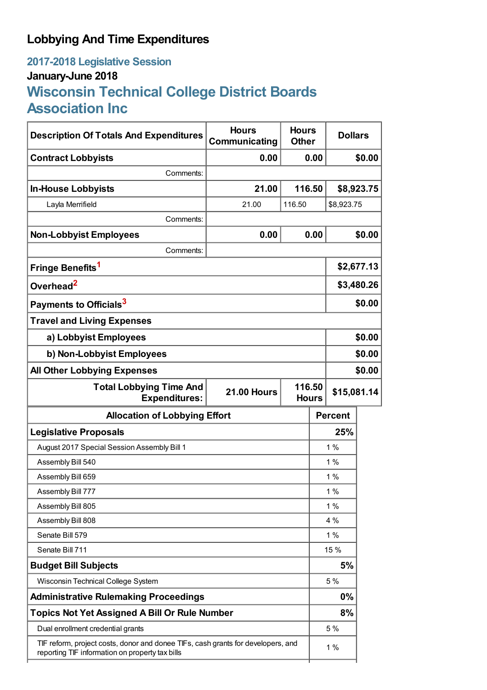## **Lobbying And Time Expenditures**

## **2017-2018 Legislative Session January-June 2018 Wisconsin Technical College District Boards Association Inc**

| <b>Description Of Totals And Expenditures</b>                                                                                       | <b>Hours</b><br>Communicating | <b>Hours</b><br><b>Other</b>          |                | <b>Dollars</b> |  |
|-------------------------------------------------------------------------------------------------------------------------------------|-------------------------------|---------------------------------------|----------------|----------------|--|
| <b>Contract Lobbyists</b>                                                                                                           | 0.00                          | 0.00                                  | \$0.00         |                |  |
| Comments:                                                                                                                           |                               |                                       |                |                |  |
| <b>In-House Lobbyists</b>                                                                                                           | 21.00                         | 116.50                                | \$8,923.75     |                |  |
| Layla Merrifield                                                                                                                    | 21.00                         | 116.50                                | \$8,923.75     |                |  |
| Comments:                                                                                                                           |                               |                                       |                |                |  |
| <b>Non-Lobbyist Employees</b>                                                                                                       | 0.00                          | 0.00                                  |                | \$0.00         |  |
| Comments:                                                                                                                           |                               |                                       |                |                |  |
| Fringe Benefits <sup>1</sup>                                                                                                        |                               |                                       | \$2,677.13     |                |  |
| Overhead <sup>2</sup>                                                                                                               |                               |                                       | \$3,480.26     |                |  |
| Payments to Officials <sup>3</sup>                                                                                                  |                               |                                       |                | \$0.00         |  |
| <b>Travel and Living Expenses</b>                                                                                                   |                               |                                       |                |                |  |
| a) Lobbyist Employees                                                                                                               |                               |                                       | \$0.00         |                |  |
| b) Non-Lobbyist Employees                                                                                                           |                               |                                       | \$0.00         |                |  |
| <b>All Other Lobbying Expenses</b>                                                                                                  |                               |                                       |                | \$0.00         |  |
| <b>Total Lobbying Time And</b><br><b>Expenditures:</b>                                                                              | <b>21.00 Hours</b>            | 116.50<br>\$15,081.14<br><b>Hours</b> |                |                |  |
| <b>Allocation of Lobbying Effort</b>                                                                                                |                               |                                       | <b>Percent</b> |                |  |
| <b>Legislative Proposals</b>                                                                                                        |                               |                                       | 25%            |                |  |
| August 2017 Special Session Assembly Bill 1                                                                                         |                               |                                       | $1\%$          |                |  |
| Assembly Bill 540                                                                                                                   |                               |                                       | 1%             |                |  |
| Assembly Bill 659                                                                                                                   |                               |                                       | 1%             |                |  |
| Assembly Bill 777                                                                                                                   |                               |                                       | 1%             |                |  |
| Assembly Bill 805                                                                                                                   |                               |                                       | $1\%$          |                |  |
| Assembly Bill 808                                                                                                                   |                               |                                       | 4 %            |                |  |
| Senate Bill 579                                                                                                                     |                               |                                       | 1%             |                |  |
| Senate Bill 711                                                                                                                     |                               |                                       | 15 %           |                |  |
| <b>Budget Bill Subjects</b>                                                                                                         |                               |                                       | 5%             |                |  |
| Wisconsin Technical College System                                                                                                  |                               |                                       | 5 %            |                |  |
| <b>Administrative Rulemaking Proceedings</b>                                                                                        |                               |                                       | 0%             |                |  |
| <b>Topics Not Yet Assigned A Bill Or Rule Number</b>                                                                                |                               |                                       | 8%             |                |  |
| Dual enrollment credential grants                                                                                                   |                               |                                       | 5 %            |                |  |
| TIF reform, project costs, donor and donee TIFs, cash grants for developers, and<br>reporting TIF information on property tax bills |                               |                                       | 1%             |                |  |